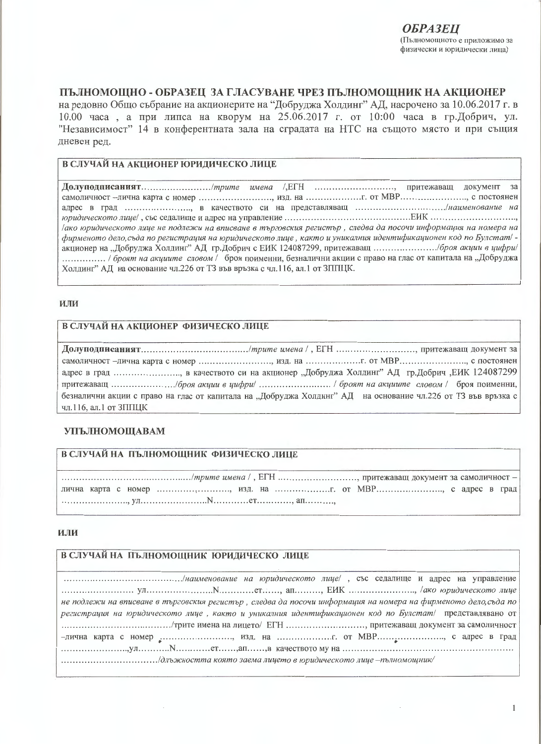# ПЪЛНОМОШНО - ОБРАЗЕЦ ЗА ГЛАСУВАНЕ ЧРЕЗ ПЪЛНОМОШНИК НА АКЦИОНЕР

на редовно Общо събрание на акционерите на "Добруджа Холдинг" АД, насрочено за 10.06.2017 г. в 10.00 часа, а при липса на кворум на 25.06.2017 г. от 10:00 часа в гр.Добрич, ул. "Независимост" 14 в конферентната зала на сградата на НТС на същото място и при същия дневен ред.

### В СЛУЧАЙ НА АКЦИОНЕР ЮРИДИЧЕСКО ЛИЦЕ

32 адрес в град ......................., в качеството си на представляващ ................................./наименование на дако юридическото лице не подлежи на вписване в търговския регистър, следва да посочи информация на номера на фирменото дело, съда по регистрация на юридическото лице, както и уникалния идентификационен код по Булстат/ -................ / броят на акциите словом / броя поименни, безналични акции с право на глас от капитала на "Добруджа Холдинг" АД на основание чл.226 от ТЗ във връзка с чл.116, ал.1 от ЗППЦК.

#### **ИЛИ**

#### В СЛУЧАЙ НА АКЦИОНЕР ФИЗИЧЕСКО ЛИЦЕ

самоличност -лична карта с номер ........................... изд. на .................... с т МВР............................ с постоянен адрес в град ......................., в качеството си на акционер "Добруджа Холдинг" АД гр.Добрич ,ЕИК 124087299 безналични акции с право на глас от капитала на "Добруджа Холдинг" АД на основание чл.226 от ТЗ във връзка с чл.116, ал.1 от ЗППЦК

### **УПЪЛНОМОЩАВАМ**

# В СЛУЧАЙ НА ПЪЛНОМОЩНИК ФИЗИЧЕСКО ЛИЦЕ

лична карта с номер .............................. изд. на ......................... от МВР.......................... с адрес в град 

### ИЛИ

# В СЛУЧАЙ НА ПЪЛНОМОЩНИК ЮРИДИЧЕСКО ЛИЦЕ

| не подлежи на вписване в търговския регистър, следва да посочи информация на номера на фирменото дело, съда по |
|----------------------------------------------------------------------------------------------------------------|
| регистрация на юридическото лице, както и уникалния идентификационен код по Булстат/ представлявано от         |
|                                                                                                                |
| -лична карта с номер , изд. на  от МВР, с адрес в град                                                         |
|                                                                                                                |
|                                                                                                                |
|                                                                                                                |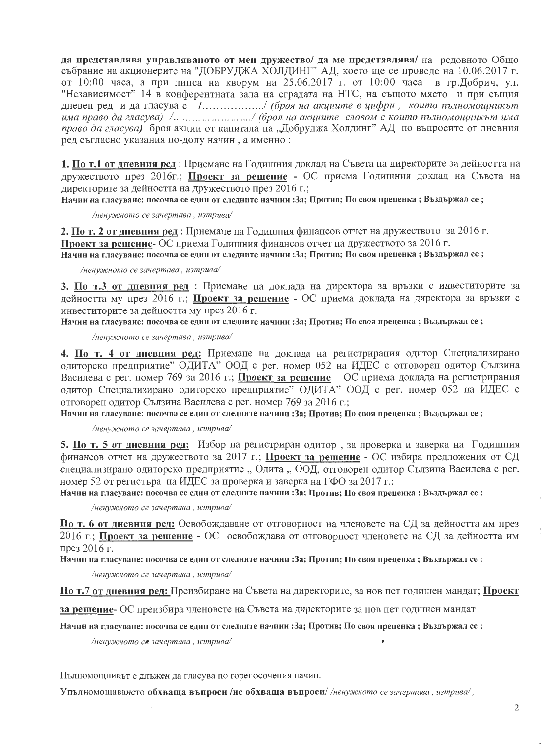да представлява управляваното от мен дружество/ да ме представлява/ на редовното Общо събрание на акционерите на "ДОБРУДЖА ХОЛДИНГ" АД, което ще се проведе на 10.06.2017 г. от 10:00 часа, а при липса на кворум на 25.06.2017 г. от 10:00 часа в гр.Добрич, ул. "Независимост" 14 в конферентната зала на сградата на НТС, на същото място и при същия дневен ред и да гласува с /................./ (броя на акциите в цифри, които пълномощникът има право да гласува) /... ... ... ... ... ... ... ../ (броя на акциите словом с които пълномощникът има право да гласува) броя акции от капитала на "Добруджа Холдинг" АД по въпросите от дневния ред съгласно указания по-долу начин, а именно:

1. По т.1 от дневния ред: Приемане на Годишния доклад на Съвета на директорите за дейността на дружеството през 2016г.; Проект за решение - ОС приема Годишния доклад на Съвета на директорите за дейността на дружеството през 2016 г.;

Начин на гласуване: посочва се един от следните начини : За; Против; По своя преценка; Въздържал се;

/ненужното се зачертава, изтрива/

2. По т. 2 от дневния ред: Приемане на Годишния финансов отчет на дружеството за 2016 г. Проект за решение- ОС приема Годишния финансов отчет на дружеството за 2016 г. Начин на гласуване: посочва се един от следните начини : За; Против; По своя преценка ; Въздържал се ;

/ненужното се зачертава, изтрива/

3. По т.3 от дневния ред : Приемане на доклада на директора за връзки с инвеститорите за дейността му през 2016 г.; Проект за решение - ОС приема доклада на директора за връзки с инвеститорите за дейността му през 2016 г.

Начин на гласуване: посочва се един от следните начини : За; Против; По своя преценка ; Въздържал се ;

/ненужното се зачертава, изтрива/

4. По т. 4 от дневния ред: Приемане на доклада на регистрирания одитор Специализирано одиторско предприятие" ОДИТА" ООД с рег. номер 052 на ИДЕС с отговорен одитор Сълзина Василева с рег. номер 769 за 2016 г.; Проект за решение - ОС приема доклада на регистрирания одитор Специализирано одиторско предприятие" ОДИТА" ООД с рег. номер 052 на ИДЕС с отговорен одитор Сълзина Василева с рег. номер 769 за 2016 г.;

Начин на гласуване: посочва се един от следните начини : За; Против; По своя преценка ; Въздържал се ;

/ненужното се зачертава, изтрива/

5. По т. 5 от дневния ред: Избор на регистриран одитор, за проверка и заверка на Годишния финансов отчет на дружеството за 2017 г.; Проект за решение - ОС избира предложения от СД специализирано одиторско предприятие "Одита "ООД, отговорен одитор Сълзина Василева с рег. номер 52 от регистъра на ИДЕС за проверка и заверка на ГФО за 2017 г.;

Начин на гласуване: посочва се един от следните начини : За; Против; По своя преценка ; Въздържал се ;

/ненужното се зачертава, изтрива/

По т. 6 от дневния ред: Освобождаване от отговорност на членовете на СД за дейността им през 2016 г.; Проект за решение - ОС освобождава от отговорност членовете на СД за дейността им през 2016 г.

Начин на гласуване: посочва се един от следните начини : За; Против; По своя преценка; Въздържал се;

/ненужното се зачертава, изтрива/

По т.7 от дневния ред: Преизбиране на Съвета на директорите, за нов пет годишен мандат; Проект

за решение- ОС преизбира членовете на Съвета на директорите за нов пет годишен мандат

Начин на гласуване: посочва се един от следните начини : За; Против; По своя преценка ; Въздържал се ;

/ненужното се зачертава, изтрива/

Пълномощникът е длъжен да гласува по горепосочения начин.

Упълномощаването обхваща въпроси /не обхваща въпроси /ненужното се зачертава, изтрива/,